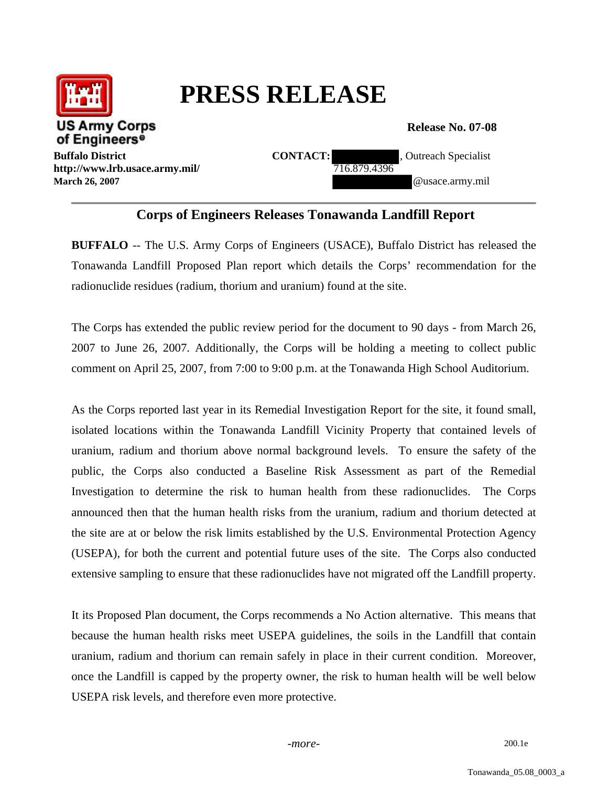

## **PRESS RELEASE**

**Release No. 07-08** 

**http://www.lrb.usace.army.mil/** 716.879.4396

**Buffalo District CONTACT:** CONTACT: 2000 , Outreach Specialist **March 26, 2007 and 26, 2007 and 26, 2007 and 26, 2007 and 26, 2007 and 26, 2007 and 26, 2007 and 26, 2007** 

## **Corps of Engineers Releases Tonawanda Landfill Report**

**BUFFALO** -- The U.S. Army Corps of Engineers (USACE), Buffalo District has released the Tonawanda Landfill Proposed Plan report which details the Corps' recommendation for the radionuclide residues (radium, thorium and uranium) found at the site.

The Corps has extended the public review period for the document to 90 days - from March 26, 2007 to June 26, 2007. Additionally, the Corps will be holding a meeting to collect public comment on April 25, 2007, from 7:00 to 9:00 p.m. at the Tonawanda High School Auditorium.

As the Corps reported last year in its Remedial Investigation Report for the site, it found small, isolated locations within the Tonawanda Landfill Vicinity Property that contained levels of uranium, radium and thorium above normal background levels. To ensure the safety of the public, the Corps also conducted a Baseline Risk Assessment as part of the Remedial Investigation to determine the risk to human health from these radionuclides. The Corps announced then that the human health risks from the uranium, radium and thorium detected at the site are at or below the risk limits established by the U.S. Environmental Protection Agency (USEPA), for both the current and potential future uses of the site. The Corps also conducted extensive sampling to ensure that these radionuclides have not migrated off the Landfill property.

It its Proposed Plan document, the Corps recommends a No Action alternative. This means that because the human health risks meet USEPA guidelines, the soils in the Landfill that contain uranium, radium and thorium can remain safely in place in their current condition. Moreover, once the Landfill is capped by the property owner, the risk to human health will be well below USEPA risk levels, and therefore even more protective.